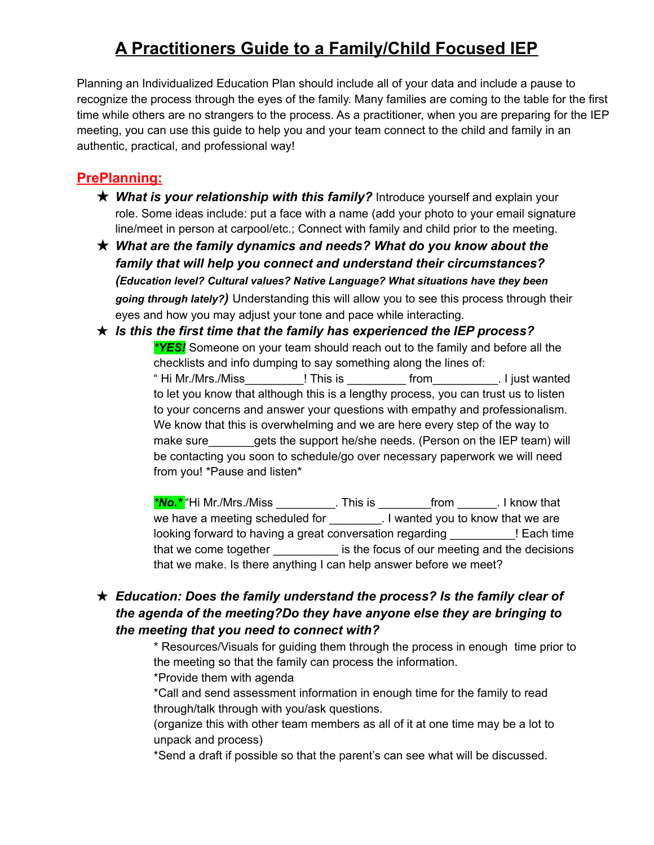# **A Practitioners Guide to a Family/Child Focused IEP**

Planning an Individualized Education Plan should include all of your data and include a pause to recognize the process through the eyes of the family. Many families are coming to the table for the first time while others are no strangers to the process. As a practitioner, when you are preparing for the IEP meeting, you can use this guide to help you and your team connect to the child and family in an authentic, practical, and professional way!

## **PrePlanning:**

- ★ *What is your relationship with this family?* Introduce yourself and explain your role. Some ideas include: put a face with a name (add your photo to your email signature line/meet in person at carpool/etc.; Connect with family and child prior to the meeting.
- ★ *What are the family dynamics and needs? What do you know about the family that will help you connect and understand their circumstances? (Education level? Cultural values? Native Language? What situations have they been going through lately?)* Understanding this will allow you to see this process through their eyes and how you may adjust your tone and pace while interacting.
- ★ *Is this the first time that the family has experienced the IEP process? \*YES!* Someone on your team should reach out to the family and before all the checklists and info dumping to say something along the lines of: " Hi Mr./Mrs./Miss\_\_\_\_\_\_\_\_\_! This is \_\_\_\_\_\_\_\_\_ from\_\_\_\_\_\_\_\_\_\_. I just wanted to let you know that although this is a lengthy process, you can trust us to listen to your concerns and answer your questions with empathy and professionalism. We know that this is overwhelming and we are here every step of the way to make sure gets the support he/she needs. (Person on the IEP team) will be contacting you soon to schedule/go over necessary paperwork we will need from you! \*Pause and listen\*

*\*No.\** "Hi Mr./Mrs./Miss \_\_\_\_\_\_\_\_\_. This is \_\_\_\_\_\_\_\_from \_\_\_\_\_\_. I know that we have a meeting scheduled for **No. 1**. I wanted you to know that we are looking forward to having a great conversation regarding \_\_\_\_\_\_\_\_\_\_! Each time that we come together is the focus of our meeting and the decisions that we make. Is there anything I can help answer before we meet?

- ★ *Education: Does the family understand the process? Is the family clear of the agenda of the meeting?Do they have anyone else they are bringing to the meeting that you need to connect with?*
	- \* Resources/Visuals for guiding them through the process in enough time prior to the meeting so that the family can process the information.
	- \*Provide them with agenda

\*Call and send assessment information in enough time for the family to read through/talk through with you/ask questions.

(organize this with other team members as all of it at one time may be a lot to unpack and process)

\*Send a draft if possible so that the parent's can see what will be discussed.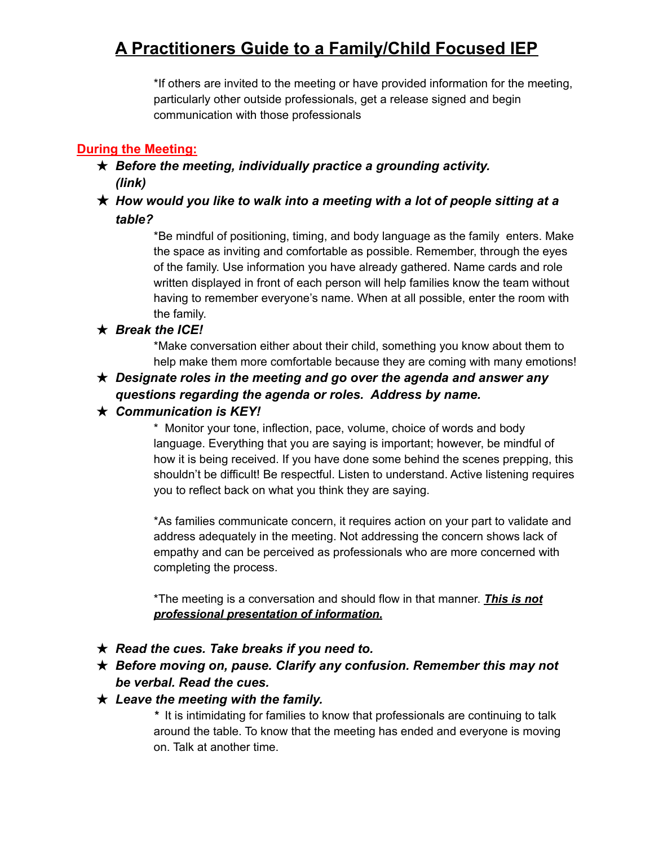## **A Practitioners Guide to a Family/Child Focused IEP**

\*If others are invited to the meeting or have provided information for the meeting, particularly other outside professionals, get a release signed and begin communication with those professionals

## **During the Meeting:**

### ★ *Before the meeting, individually practice a grounding activity. (link)*

### ★ *How would you like to walk into a meeting with a lot of people sitting at a table?*

\*Be mindful of positioning, timing, and body language as the family enters. Make the space as inviting and comfortable as possible. Remember, through the eyes of the family. Use information you have already gathered. Name cards and role written displayed in front of each person will help families know the team without having to remember everyone's name. When at all possible, enter the room with the family.

#### ★ *Break the ICE!*

\*Make conversation either about their child, something you know about them to help make them more comfortable because they are coming with many emotions!

### ★ *Designate roles in the meeting and go over the agenda and answer any questions regarding the agenda or roles. Address by name.*

#### ★ *Communication is KEY!*

\* Monitor your tone, inflection, pace, volume, choice of words and body language. Everything that you are saying is important; however, be mindful of how it is being received. If you have done some behind the scenes prepping, this shouldn't be difficult! Be respectful. Listen to understand. Active listening requires you to reflect back on what you think they are saying.

\*As families communicate concern, it requires action on your part to validate and address adequately in the meeting. Not addressing the concern shows lack of empathy and can be perceived as professionals who are more concerned with completing the process.

\*The meeting is a conversation and should flow in that manner. *This is not professional presentation of information.*

#### ★ *Read the cues. Take breaks if you need to.*

★ *Before moving on, pause. Clarify any confusion. Remember this may not be verbal. Read the cues.*

#### ★ *Leave the meeting with the family.*

*\** It is intimidating for families to know that professionals are continuing to talk around the table. To know that the meeting has ended and everyone is moving on. Talk at another time.